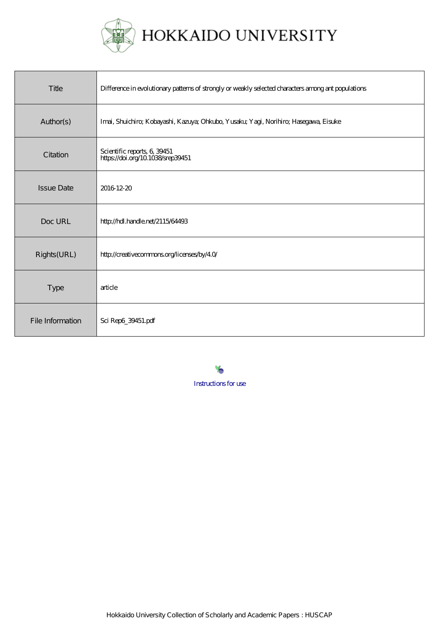

| Title             | Difference in evolutionary patterns of strongly or weakly selected characters among ant populations |
|-------------------|-----------------------------------------------------------------------------------------------------|
| Author(s)         | Imai, Shuichiro; Kobayashi, Kazuya; Ohkubo, Yusaku; Yagi, Norihiro; Hasegawa, Eisuke                |
| Citation          | Scientific reports, 6, 39451<br>https://doi.org/10.1038/srep39451                                   |
| <b>Issue Date</b> | 2016 12:20                                                                                          |
| Doc URL           | http://hdl.handle.net/2115/64493                                                                    |
| Rights(URL)       | http://creativecommons.org/licenses/by/40/                                                          |
| Type              | article                                                                                             |
| File Information  | Sci Rep6_39451.pdf                                                                                  |

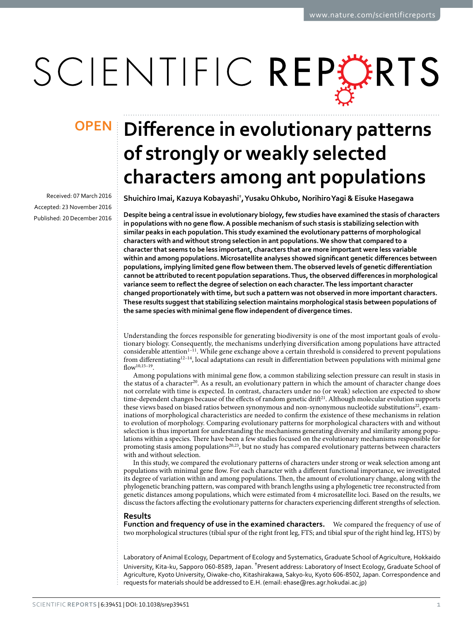# SCIENTIFIC REPORTS

Received: 07 March 2016 accepted: 23 November 2016 Published: 20 December 2016

## **Difference in evolutionary patterns OPENof strongly or weakly selected characters among ant populations**

**Shuichiro Imai, Kazuya Kobayashi† , YusakuOhkubo, NorihiroYagi & Eisuke Hasegawa**

**Despite being a central issue in evolutionary biology, few studies have examined the stasis of characters in populations with no gene flow. A possible mechanism of such stasis is stabilizing selection with similar peaks in each population. This study examined the evolutionary patterns of morphological characters with and without strong selection in ant populations. We show that compared to a character that seems to be less important, characters that are more important were less variable within and among populations. Microsatellite analyses showed significant genetic differences between populations, implying limited gene flow between them. The observed levels of genetic differentiation cannot be attributed to recent population separations. Thus, the observed differences in morphological variance seem to reflect the degree of selection on each character. The less important character changed proportionately with time, but such a pattern was not observed in more important characters. These results suggest that stabilizing selection maintains morphological stasis between populations of the same species with minimal gene flow independent of divergence times.**

Understanding the forces responsible for generating biodiversity is one of the most important goals of evolutionary biology. Consequently, the mechanisms underlying diversification among populations have attracted considerable attention<sup> $1-11$ </sup>. While gene exchange above a certain threshold is considered to prevent populations from differentiatin[g12–14,](#page-8-0) local adaptations can result in differentiation between populations with minimal gene flo[w10,](#page-8-1)[15–19](#page-8-2).

Among populations with minimal gene flow, a common stabilizing selection pressure can result in stasis in the status of a character<sup>20</sup>. As a result, an evolutionary pattern in which the amount of character change does not correlate with time is expected. In contrast, characters under no (or weak) selection are expected to show time-dependent changes because of the effects of random genetic drift<sup>21</sup>. Although molecular evolution supports these views based on biased ratios between synonymous and non-synonymous nucleotide substitutions<sup>[22](#page-8-5)</sup>, examinations of morphological characteristics are needed to confirm the existence of these mechanisms in relation to evolution of morphology. Comparing evolutionary patterns for morphological characters with and without selection is thus important for understanding the mechanisms generating diversity and similarity among populations within a species. There have been a few studies focused on the evolutionary mechanisms responsible for promoting stasis among populations<sup>20,23</sup>, but no study has compared evolutionary patterns between characters with and without selection.

In this study, we compared the evolutionary patterns of characters under strong or weak selection among ant populations with minimal gene flow. For each character with a different functional importance, we investigated its degree of variation within and among populations. Then, the amount of evolutionary change, along with the phylogenetic branching pattern, was compared with branch lengths using a phylogenetic tree reconstructed from genetic distances among populations, which were estimated from 4 microsatellite loci. Based on the results, we discuss the factors affecting the evolutionary patterns for characters experiencing different strengths of selection.

### **Results**

**Function and frequency of use in the examined characters.** We compared the frequency of use of two morphological structures (tibial spur of the right front leg, FTS; and tibial spur of the right hind leg, HTS) by

Laboratory of Animal Ecology, Department of Ecology and Systematics, Graduate School of Agriculture, Hokkaido University, Kita-ku, Sapporo 060-8589, Japan. **†** Present address: Laboratory of Insect Ecology, Graduate School of Agriculture, Kyoto University, Oiwake-cho, Kitashirakawa, Sakyo-ku, Kyoto 606-8502, Japan. Correspondence and requests for materials should be addressed to E.H. (email: [ehase@res.agr.hokudai.ac.jp](mailto:ehase@res.agr.hokudai.ac.jp))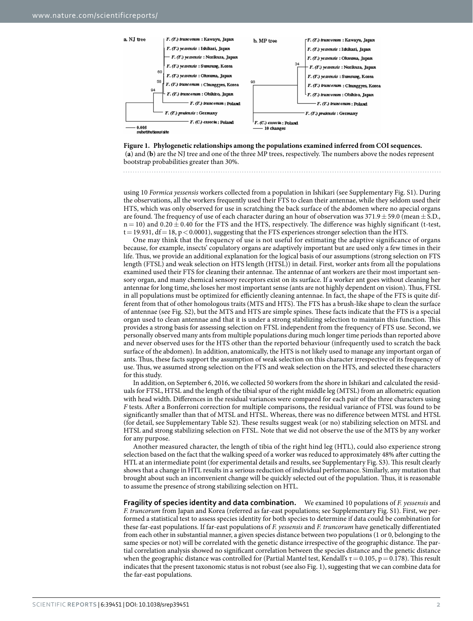

<span id="page-2-0"></span>**Figure 1. Phylogenetic relationships among the populations examined inferred from COI sequences.** (**a**) and (**b**) are the NJ tree and one of the three MP trees, respectively. The numbers above the nodes represent bootstrap probabilities greater than 30%.

using 10 *Formica yessensis* workers collected from a population in Ishikari (see Supplementary Fig. S1). During the observations, all the workers frequently used their FTS to clean their antennae, while they seldom used their HTS, which was only observed for use in scratching the back surface of the abdomen where no apecial organs are found. The frequency of use of each character during an hour of observation was  $371.9 \pm 59.0$  (mean  $\pm$  S.D.,  $n = 10$ ) and 0.20  $\pm$  0.40 for the FTS and the HTS, respectively. The difference was highly significant (t-test,  $t=19.931$ ,  $df=18$ ,  $p<0.0001$ ), suggesting that the FTS experiences stronger selection than the HTS.

One may think that the frequency of use is not useful for estimating the adaptive significance of organs because, for example, insects' copulatory organs are adaptively important but are used only a few times in their life. Thus, we provide an additional explanation for the logical basis of our assumptions (strong selection on FTS length (FTSL) and weak selection on HTS length (HTSL)) in detail. First, worker ants from all the populations examined used their FTS for cleaning their antennae. The antennae of ant workers are their most important sensory organ, and many chemical sensory receptors exist on its surface. If a worker ant goes without cleaning her antennae for long time, she loses her most important sense (ants are not highly dependent on vision). Thus, FTSL in all populations must be optimized for efficiently cleaning antennae. In fact, the shape of the FTS is quite different from that of other homologous traits (MTS and HTS). The FTS has a brush-like shape to clean the surface of antennae (see Fig. S2), but the MTS and HTS are simple spines. These facts indicate that the FTS is a special organ used to clean antennae and that it is under a strong stabilizing selection to maintain this function. This provides a strong basis for assessing selection on FTSL independent from the frequency of FTS use. Second, we personally observed many ants from multiple populations during much longer time periods than reported above and never observed uses for the HTS other than the reported behaviour (infrequently used to scratch the back surface of the abdomen). In addition, anatomically, the HTS is not likely used to manage any important organ of ants. Thus, these facts support the assumption of weak selection on this character irrespective of its frequency of use. Thus, we assumed strong selection on the FTS and weak selection on the HTS, and selected these characters for this study.

In addition, on September 6, 2016, we collected 50 workers from the shore in Ishikari and calculated the residuals for FTSL, HTSL and the length of the tibial spur of the right middle leg (MTSL) from an allometric equation with head width. Differences in the residual variances were compared for each pair of the three characters using *F* tests. After a Bonferroni correction for multiple comparisons, the residual variance of FTSL was found to be significantly smaller than that of MTSL and HTSL. Whereas, there was no difference between MTSL and HTSL (for detail, see Supplementary Table S2). These results suggest weak (or no) stabilizing selection on MTSL and HTSL and strong stabilizing selection on FTSL. Note that we did not observe the use of the MTS by any worker for any purpose.

Another measured character, the length of tibia of the right hind leg (HTL), could also experience strong selection based on the fact that the walking speed of a worker was reduced to approximately 48% after cutting the HTL at an intermediate point (for experimental details and results, see Supplementary Fig. S3). This result clearly shows that a change in HTL results in a serious reduction of individual performance. Similarly, any mutation that brought about such an inconvenient change will be quickly selected out of the population. Thus, it is reasonable to assume the presence of strong stabilizing selection on HTL.

**Fragility of species identity and data combination.** We examined 10 populations of *F. yessensis* and *F. truncorum* from Japan and Korea (referred as far-east populations; see Supplementary Fig. S1). First, we performed a statistical test to assess species identity for both species to determine if data could be combination for these far-east populations. If far-east populations of *F. yessensis* and *F. truncorum* have genetically differentiated from each other in substantial manner, a given species distance between two populations (1 or 0, belonging to the same species or not) will be correlated with the genetic distance irrespective of the geographic distance. The partial correlation analysis showed no significant correlation between the species distance and the genetic distance when the geographic distance was controlled for (Partial Mantel test, Kendall's  $\tau = 0.105$ , p = 0.178). This result indicates that the present taxonomic status is not robust (see also [Fig. 1](#page-2-0)), suggesting that we can combine data for the far-east populations.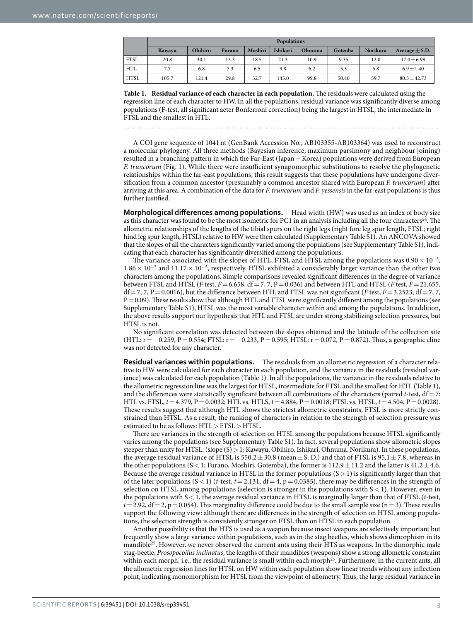|             | Populations |         |        |         |          |        |         |          |                    |  |  |
|-------------|-------------|---------|--------|---------|----------|--------|---------|----------|--------------------|--|--|
|             | Kawavu      | Obihiro | Furano | Moshiri | Ishikari | Ohnuma | Gotenba | Norikura | Average $\pm$ S.D. |  |  |
| <b>FTSL</b> | 20.8        | 30.1    | 13.3   | 18.5    | 21.3     | 10.9   | 9.35    | 12.0     | $17.0 \pm 6.98$    |  |  |
| <b>HTL</b>  | 7.7         | 6.8     | 7.3    | 6.5     | 9.8      | 6.2    | 5.3     | 5.8      | $6.9 \pm 1.40$     |  |  |
| <b>HTSL</b> | 105.7       | 121.4   | 29.8   | 32.7    | 143.0    | 99.8   | 50.40   | 59.7     | $80.3 \pm 42.73$   |  |  |

**Table 1. Residual variance of each character in each population.** The residuals were calculated using the regression line of each character to HW. In all the populations, residual variance was significantly diverse among populations (F-test, all significant aeter Bonferroni correction) being the largest in HTSL, the intermediate in FTSL and the smallest in HTL.

A COI gene sequence of 1041 nt (GenBank Accession No., AB103355-AB103364) was used to reconstruct a molecular phylogeny. All three methods (Bayesian inference, maximum parsimony and neighbour joining) resulted in a branching pattern in which the Far-East (Japan+ Korea) populations were derived from European *F. truncorum* ([Fig. 1](#page-2-0)). While there were insufficient synapomorphic substitutions to resolve the phylogenetic relationships within the far-east populations, this result suggests that these populations have undergone diversification from a common ancestor (presumably a common ancestor shared with European *F. truncorum*) after arriving at this area. A combination of the data for *F. truncorum* and *F. yessensis* in the far-east populations is thus further justified.

**Morphological differences among populations.** Head width (HW) was used as an index of body size as this character was found to be the most isometric for PC1 in an analysis including all the four characters<sup>[24](#page-8-7)</sup>. The allometric relationships of the lengths of the tibial spurs on the right legs (right fore leg spur length, FTSL; right hind leg spur length, HTSL) relative to HW were then calculated (Supplementary Table S1). An ANCOVA showed that the slopes of all the characters significantly varied among the populations (see Supplementary Table S1), indicating that each character has significantly diversified among the populations.

The variance associated with the slopes of HTL, FTSL and HTSL among the populations was  $0.90 \times 10^{-5}$ , 1.86× 10<sup>−</sup><sup>5</sup> and 11.17× 10<sup>−</sup><sup>5</sup> , respectively. HTSL exhibited a considerably larger variance than the other two characters among the populations. Simple comparisons revealed significant differences in the degree of variance between FTSL and HTSL (*F* test, *F*=6.658, df=7, 7, P=0.036) and between HTL and HTSL (*F* test, *F*=21.655,  $df = 7, 7, P = 0.0016$ ), but the difference between HTL and FTSL was not significant (*F* test,  $F = 3.2523$ ,  $df = 7, 7$ ,  $P = 0.09$ ). These results show that although HTL and FTSL were significantly different among the populations (see Supplementary Table S1), HTSL was the most variable character within and among the populations. In addition, the above results support our hypothesis that HTL and FTSL are under strong stabilizing selection pressures, but HTSL is not.

No significant correlation was detected between the slopes obtained and the latitude of the collection site (HTL:  $r = -0.259$ , P = 0.554; FTSL:  $r = -0.233$ , P = 0.595; HTSL:  $r = 0.072$ , P = 0.872). Thus, a geographic cline was not detected for any character.

**Residual variances within populations.** The residuals from an allometric regression of a character relative to HW were calculated for each character in each population, and the variance in the residuals (residual variance) was calculated for each population (Table 1). In all the populations, the variance in the residuals relative to the allometric regression line was the largest for HTSL, intermediate for FTSL and the smallest for HTL (Table 1), and the differences were statistically significant between all combinations of the characters (paired *t*-test, df= 7: HTL vs. FTSL, *t*=4.379, P=0.0032; HTL vs. HTLS, *t*=4.884, P=0.0018; FTSL vs. HTSL, *t*=4.504, P=0.0028). These results suggest that although HTL shows the strictest allometric constraints, FTSL is more strictly constrained than HTSL. As a result, the ranking of characters in relation to the strength of selection pressure was estimated to be as follows: HTL>FTSL>HTSL.

There are variances in the strength of selection on HTSL among the populations because HTSL significantly varies among the populations (see Supplementary Table S1). In fact, several populations show allometric slopes steeper than unity for HTSL. (slope (S) > 1; Kawayu, Obihiro, Ishikari, Ohnuma, Norikura). In these populations, the average residual variance of HTSL is  $550.2 \pm 30.8$  (mean  $\pm$  S. D.) and that of FTSL is 95.1 $\pm$  7.8, whereas in the other populations (S < 1; Furano, Moshiri, Gotemba), the former is  $112.9 \pm 11.2$  and the latter is  $41.2 \pm 4.6$ . Because the average residual variance in HTSL in the former populations  $(S > 1)$  is significantly larger than that of the later populations  $(S < 1)$  (*t*-test,  $t = 2.131$ , df = 4, p = 0.0385), there may be differences in the strength of selection on HTSL among populations (selection is stronger in the populations with  $S < 1$ ). However, even in the populations with S< 1, the average residual variance in HTSL is marginally larger than that of FTSL (*t*-test,  $t=2.92$ ,  $df=2$ ,  $p=0.054$ ). This marginality difference could be due to the small sample size (n = 3). These results support the following view: although there are differences in the strength of selection on HTSL among populations, the selection strength is consistently stronger on FTSL than on HTSL in each population.

Another possibility is that the HTS is used as a weapon because insect weapons are selectively important but frequently show a large variance within populations, such as in the stag beetles, which shows dimorphism in its mandible<sup>25</sup>. However, we never observed the current ants using their HTS as weapons. In the dimorphic male stag-beetle, *Prosopocoilus inclinatus*, the lengths of their mandibles (weapons) show a strong allometric constraint within each morph, i.e., the residual variance is small within each morph<sup>25</sup>. Furthermore, in the current ants, all the allometric regression lines for HTSL on HW within each population show linear trends without any inflection point, indicating monomorphism for HTSL from the viewpoint of allometry. Thus, the large residual variance in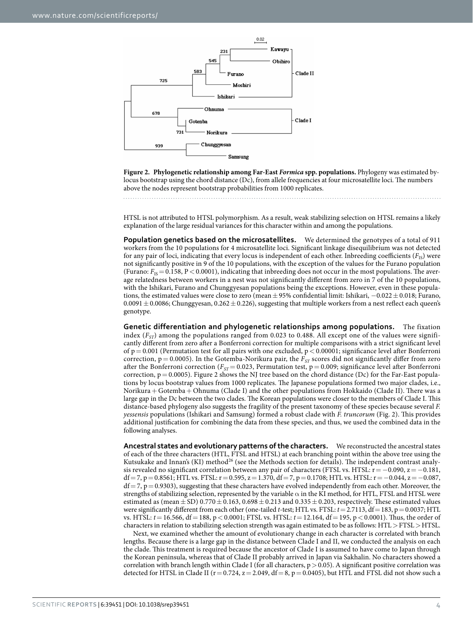

<span id="page-4-0"></span>**Figure 2. Phylogenetic relationship among Far-East** *Formica* **spp. populations.** Phylogeny was estimated bylocus bootstrap using the chord distance (Dc), from allele frequencies at four microsatellite loci. The numbers above the nodes represent bootstrap probabilities from 1000 replicates.

HTSL is not attributed to HTSL polymorphism. As a result, weak stabilizing selection on HTSL remains a likely explanation of the large residual variances for this character within and among the populations.

**Population genetics based on the microsatellites.** We determined the genotypes of a total of 911 workers from the 10 populations for 4 microsatellite loci. Significant linkage disequilibrium was not detected for any pair of loci, indicating that every locus is independent of each other. Inbreeding coefficients  $(F_{IS})$  were not significantly positive in 9 of the 10 populations, with the exception of the values for the Furano population (Furano:  $F_{1S} = 0.158$ ,  $P < 0.0001$ ), indicating that inbreeding does not occur in the most populations. The average relatedness between workers in a nest was not significantly different from zero in 7 of the 10 populations, with the Ishikari, Furano and Chunggyesan populations being the exceptions. However, even in these populations, the estimated values were close to zero (mean± 95% confidential limit: Ishikari, −0.022± 0.018; Furano,  $0.0091 \pm 0.0086$ ; Chunggyesan,  $0.262 \pm 0.226$ ), suggesting that multiple workers from a nest reflect each queen's genotype.

**Genetic differentiation and phylogenetic relationships among populations.** The fixation index  $(F_{ST})$  among the populations ranged from 0.023 to 0.488. All except one of the values were significantly different from zero after a Bonferroni correction for multiple comparisons with a strict significant level of  $p = 0.001$  (Permutation test for all pairs with one excluded,  $p < 0.00001$ ; significance level after Bonferroni correction,  $p = 0.0005$ ). In the Gotemba-Norikura pair, the  $F_{ST}$  scores did not significantly differ from zero after the Bonferroni correction ( $F_{ST}$  = 0.023, Permutation test, p = 0.009; significance level after Bonferroni correction,  $p = 0.0005$ . [Figure 2](#page-4-0) shows the NJ tree based on the chord distance (Dc) for the Far-East populations by locus bootstrap values from 1000 replicates. The Japanese populations formed two major clades, i.e., Norikura+ Gotemba+ Ohnuma (Clade I) and the other populations from Hokkaido (Clade II). There was a large gap in the Dc between the two clades. The Korean populations were closer to the members of Clade I. This distance-based phylogeny also suggests the fragility of the present taxonomy of these species because several *F. yessensis* populations (Ishikari and Samsung) formed a robust clade with *F. truncorum* [\(Fig. 2\)](#page-4-0). This provides additional justification for combining the data from these species, and thus, we used the combined data in the following analyses.

**Ancestral states and evolutionary patterns of the characters.** We reconstructed the ancestral states of each of the three characters (HTL, FTSL and HTSL) at each branching point within the above tree using the Kutsukake and Innan's (KI) method<sup>26</sup> (see the Methods section for details). The independent contrast analysis revealed no significant correlation between any pair of characters (FTSL vs. HTSL:  $r = -0.090$ ,  $z = -0.181$ , df = 7, p = 0.8561; HTL vs. FTSL:  $r = 0.595$ ,  $z = 1.370$ , df = 7, p = 0.1708; HTL vs. HTSL:  $r = -0.044$ ,  $z = -0.087$ ,  $df = 7$ ,  $p = 0.9303$ ), suggesting that these characters have evolved independently from each other. Moreover, the strengths of stabilizing selection, represented by the variable  $\alpha$  in the KI method, for HTL, FTSL and HTSL were estimated as (mean  $\pm$  SD) 0.770 $\pm$  0.163, 0.698 $\pm$  0.213 and 0.335 $\pm$  0.203, respectively. These estimated values were significantly different from each other (one-tailed *t*-test; HTL vs. FTSL: *t*= 2.7113, df= 183, p= 0.0037; HTL vs. HTSL: *t*= 16.566, df= 188, p< 0.0001; FTSL vs. HTSL: *t*= 12.164, df= 195, p< 0.0001). Thus, the order of characters in relation to stabilizing selection strength was again estimated to be as follows: HTL>FTSL>HTSL.

Next, we examined whether the amount of evolutionary change in each character is correlated with branch lengths. Because there is a large gap in the distance between Clade I and II, we conducted the analysis on each the clade. This treatment is required because the ancestor of Clade I is assumed to have come to Japan through the Korean peninsula, whereas that of Clade II probably arrived in Japan via Sakhalin. No characters showed a correlation with branch length within Clade I (for all characters,  $p > 0.05$ ). A significant positive correlation was detected for HTSL in Clade II ( $r = 0.724$ ,  $z = 2.049$ , df = 8, p = 0.0405), but HTL and FTSL did not show such a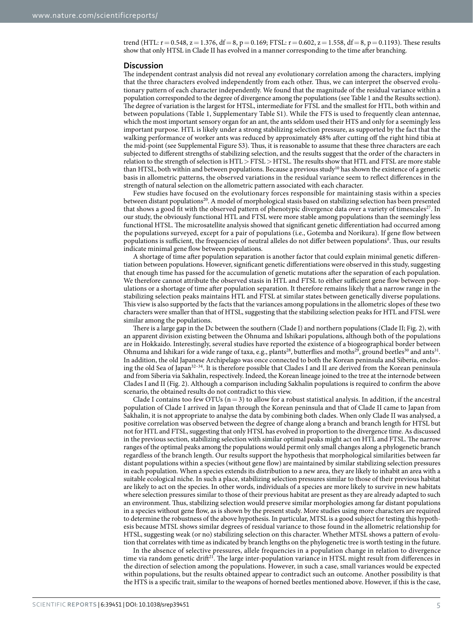trend (HTL:  $r = 0.548$ ,  $z = 1.376$ ,  $df = 8$ ,  $p = 0.169$ ; FTSL:  $r = 0.602$ ,  $z = 1.558$ ,  $df = 8$ ,  $p = 0.1193$ ). These results show that only HTSL in Clade II has evolved in a manner corresponding to the time after branching.

#### **Discussion**

The independent contrast analysis did not reveal any evolutionary correlation among the characters, implying that the three characters evolved independently from each other. Thus, we can interpret the observed evolutionary pattern of each character independently. We found that the magnitude of the residual variance within a population corresponded to the degree of divergence among the populations (see Table 1 and the Results section). The degree of variation is the largest for HTSL, intermediate for FTSL and the smallest for HTL, both within and between populations (Table 1, Supplementary Table S1). While the FTS is used to frequently clean antennae, which the most important sensory organ for an ant, the ants seldom used their HTS and only for a seemingly less important purpose. HTL is likely under a strong stabilizing selection pressure, as supported by the fact that the walking performance of worker ants was reduced by approximately 48% after cutting off the right hind tibia at the mid-point (see Supplemental Figure S3). Thus, it is reasonable to assume that these three characters are each subjected to different strengths of stabilizing selection, and the results suggest that the order of the characters in relation to the strength of selection is HTL>FTSL>HTSL. The results show that HTL and FTSL are more stable than HTSL, both within and between populations. Because a previous study<sup>[10](#page-8-1)</sup> has shown the existence of a genetic basis in allometric patterns, the observed variations in the residual variance seem to reflect differences in the strength of natural selection on the allometric pattern associated with each character.

Few studies have focused on the evolutionary forces responsible for maintaining stasis within a species between distant populations<sup>20</sup>. A model of morphological stasis based on stabilizing selection has been presented that shows a good fit with the observed pattern of phenotypic divergence data over a variety of timescales<sup>27</sup>. In our study, the obviously functional HTL and FTSL were more stable among populations than the seemingly less functional HTSL. The microsatellite analysis showed that significant genetic differentiation had occurred among the populations surveyed, except for a pair of populations (i.e., Gotemba and Norikura). If gene flow between populations is sufficient, the frequencies of neutral alleles do not differ between populations<sup>[8](#page-8-11)</sup>. Thus, our results indicate minimal gene flow between populations.

A shortage of time after population separation is another factor that could explain minimal genetic differentiation between populations. However, significant genetic differentiations were observed in this study, suggesting that enough time has passed for the accumulation of genetic mutations after the separation of each population. We therefore cannot attribute the observed stasis in HTL and FTSL to either sufficient gene flow between populations or a shortage of time after population separation. It therefore remains likely that a narrow range in the stabilizing selection peaks maintains HTL and FTSL at similar states between genetically diverse populations. This view is also supported by the facts that the variances among populations in the allometric slopes of these two characters were smaller than that of HTSL, suggesting that the stabilizing selection peaks for HTL and FTSL were similar among the populations.

There is a large gap in the Dc between the southern (Clade I) and northern populations (Clade II; [Fig. 2\)](#page-4-0), with an apparent division existing between the Ohnuma and Ishikari populations, although both of the populations are in Hokkaido. Interestingly, several studies have reported the existence of a biogeographical border between Ohnuma and Ishikari for a wide range of taxa, e.g., plants<sup>[28](#page-8-12)</sup>, butterflies and moths<sup>25</sup>, ground beetles<sup>30</sup> and ants<sup>31</sup>. In addition, the old Japanese Archipelago was once connected to both the Korean peninsula and Siberia, enclosing the old Sea of Japan[32–34](#page-8-16). It is therefore possible that Clades I and II are derived from the Korean peninsula and from Siberia via Sakhalin, respectively. Indeed, the Korean lineage joined to the tree at the internode between Clades I and II [\(Fig. 2\)](#page-4-0). Although a comparison including Sakhalin populations is required to confirm the above scenario, the obtained results do not contradict to this view.

Clade I contains too few OTUs  $(n=3)$  to allow for a robust statistical analysis. In addition, if the ancestral population of Clade I arrived in Japan through the Korean peninsula and that of Clade II came to Japan from Sakhalin, it is not appropriate to analyse the data by combining both clades. When only Clade II was analysed, a positive correlation was observed between the degree of change along a branch and branch length for HTSL but not for HTL and FTSL, suggesting that only HTSL has evolved in proportion to the divergence time. As discussed in the previous section, stabilizing selection with similar optimal peaks might act on HTL and FTSL. The narrow ranges of the optimal peaks among the populations would permit only small changes along a phylogenetic branch regardless of the branch length. Our results support the hypothesis that morphological similarities between far distant populations within a species (without gene flow) are maintained by similar stabilizing selection pressures in each population. When a species extends its distribution to a new area, they are likely to inhabit an area with a suitable ecological niche. In such a place, stabilizing selection pressures similar to those of their previous habitat are likely to act on the species. In other words, individuals of a species are more likely to survive in new habitats where selection pressures similar to those of their previous habitat are present as they are already adapted to such an environment. Thus, stabilizing selection would preserve similar morphologies among far distant populations in a species without gene flow, as is shown by the present study. More studies using more characters are required to determine the robustness of the above hypothesis. In particular, MTSL is a good subject for testing this hypothesis because MTSL shows similar degrees of residual variance to those found in the allometric relationship for HTSL, suggesting weak (or no) stabilizing selection on this character. Whether MTSL shows a pattern of evolution that correlates with time as indicated by branch lengths on the phylogenetic tree is worth testing in the future.

In the absence of selective pressures, allele frequencies in a population change in relation to divergence time via random genetic drift<sup>21</sup>. The large inter-population variance in HTSL might result from differences in the direction of selection among the populations. However, in such a case, small variances would be expected within populations, but the results obtained appear to contradict such an outcome. Another possibility is that the HTS is a specific trait, similar to the weapons of horned beetles mentioned above. However, if this is the case,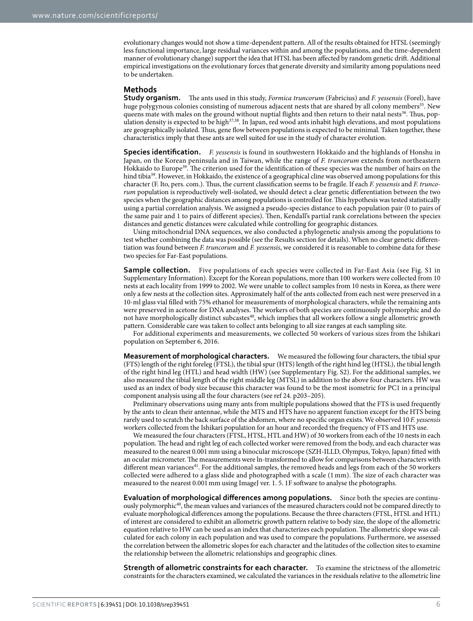evolutionary changes would not show a time-dependent pattern. All of the results obtained for HTSL (seemingly less functional importance, large residual variances within and among the populations, and the time-dependent manner of evolutionary change) support the idea that HTSL has been affected by random genetic drift. Additional empirical investigations on the evolutionary forces that generate diversity and similarity among populations need to be undertaken.

#### **Methods**

**Study organism.** The ants used in this study, *Formica truncorum* (Fabricius) and *F. yessensis* (Forel), have huge polygynous colonies consisting of numerous adjacent nests that are shared by all colony members<sup>35</sup>. New queens mate with males on the ground without nuptial flights and then return to their natal nests<sup>36</sup>. Thus, population density is expected to be high $37,38$ . In Japan, red wood ants inhabit high elevations, and most populations are geographically isolated. Thus, gene flow between populations is expected to be minimal. Taken together, these characteristics imply that these ants are well suited for use in the study of character evolution.

**Species identification.** *F. yessensis* is found in southwestern Hokkaido and the highlands of Honshu in Japan, on the Korean peninsula and in Taiwan, while the range of *F. truncorum* extends from northeastern Hokkaido to Europe<sup>[39](#page-8-21)</sup>. The criterion used for the identification of these species was the number of hairs on the hind tibia<sup>39</sup>. However, in Hokkaido, the existence of a geographical cline was observed among populations for this character (F. Ito, pers. com.). Thus, the current classification seems to be fragile. If each *F. yessensis* and *F. truncorum* population is reproductively well-isolated, we should detect a clear genetic differentiation between the two species when the geographic distances among populations is controlled for. This hypothesis was tested statistically using a partial correlation analysis. We assigned a pseudo-species distance to each population pair (0 to pairs of the same pair and 1 to pairs of different species). Then, Kendall's partial rank correlations between the species distances and genetic distances were calculated while controlling for geographic distances.

Using mitochondrial DNA sequences, we also conducted a phylogenetic analysis among the populations to test whether combining the data was possible (see the Results section for details). When no clear genetic differentiation was found between *F. truncorum* and *F. yessensis*, we considered it is reasonable to combine data for these two species for Far-East populations.

**Sample collection.** Five populations of each species were collected in Far-East Asia (see Fig. S1 in Supplementary Information). Except for the Korean populations, more than 100 workers were collected from 10 nests at each locality from 1999 to 2002. We were unable to collect samples from 10 nests in Korea, as there were only a few nests at the collection sites. Approximately half of the ants collected from each nest were preserved in a 10-ml glass vial filled with 75% ethanol for measurements of morphological characters, while the remaining ants were preserved in acetone for DNA analyses. The workers of both species are continuously polymorphic and do not have morphologically distinct subcastes<sup>40</sup>, which implies that all workers follow a single allometric growth pattern. Considerable care was taken to collect ants belonging to all size ranges at each sampling site.

For additional experiments and measurements, we collected 50 workers of various sizes from the Ishikari population on September 6, 2016.

**Measurement of morphological characters.** We measured the following four characters, the tibial spur (FTS) length of the right foreleg (FTSL), the tibial spur (HTS) length of the right hind leg (HTSL), the tibial length of the right hind leg (HTL) and head width (HW) (see Supplementary Fig. S2). For the additional samples, we also measured the tibial length of the right middle leg (MTSL) in addition to the above four characters. HW was used as an index of body size because this character was found to be the most isometric for PC1 in a principal component analysis using all the four characters (see ref [24](#page-8-7). p203–205).

Preliminary observations using many ants from multiple populations showed that the FTS is used frequently by the ants to clean their antennae, while the MTS and HTS have no apparent function except for the HTS being rarely used to scratch the back surface of the abdomen, where no specific organ exists. We observed 10 *F. yessensis* workers collected from the Ishikari population for an hour and recorded the frequency of FTS and HTS use.

We measured the four characters (FTSL, HTSL, HTL and HW) of 30 workers from each of the 10 nests in each population. The head and right leg of each collected worker were removed from the body, and each character was measured to the nearest 0.001mm using a binocular microscope (SZH-ILLD, Olympus, Tokyo, Japan) fitted with an ocular micrometer. The measurements were ln-transformed to allow for comparisons between characters with different mean variances<sup>41</sup>. For the additional samples, the removed heads and legs from each of the 50 workers collected were adhered to a glass slide and photographed with a scale (1 mm). The size of each character was measured to the nearest 0.001 mm using ImageJ ver. 1. 5. 1F software to analyse the photographs.

**Evaluation of morphological differences among populations.** Since both the species are continuously polymorphi[c40,](#page-8-22) the mean values and variances of the measured characters could not be compared directly to evaluate morphological differences among the populations. Because the three characters (FTSL, HTSL and HTL) of interest are considered to exhibit an allometric growth pattern relative to body size, the slope of the allometric equation relative to HW can be used as an index that characterizes each population. The allometric slope was calculated for each colony in each population and was used to compare the populations. Furthermore, we assessed the correlation between the allometric slopes for each character and the latitudes of the collection sites to examine the relationship between the allometric relationships and geographic clines.

**Strength of allometric constraints for each character.** To examine the strictness of the allometric constraints for the characters examined, we calculated the variances in the residuals relative to the allometric line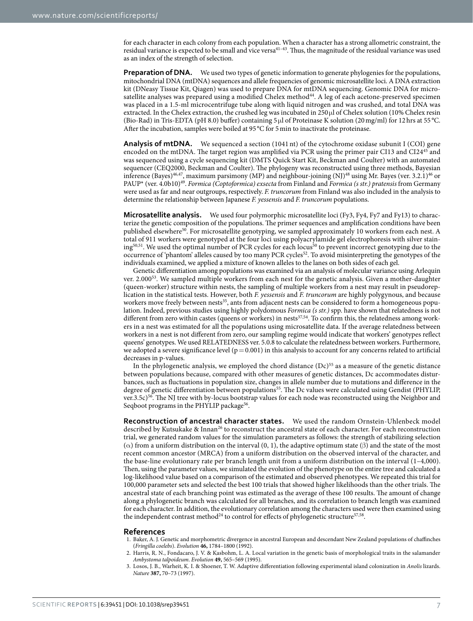for each character in each colony from each population. When a character has a strong allometric constraint, the residual variance is expected to be small and vice vers[a41–43](#page-8-23). Thus, the magnitude of the residual variance was used as an index of the strength of selection.

**Preparation of DNA.** We used two types of genetic information to generate phylogenies for the populations, mitochondrial DNA (mtDNA) sequences and allele frequencies of genomic microsatellite loci. A DNA extraction kit (DNeasy Tissue Kit, Qiagen) was used to prepare DNA for mtDNA sequencing. Genomic DNA for microsatellite analyses was prepared using a modified Chelex method<sup>44</sup>. A leg of each acetone-preserved specimen was placed in a 1.5-ml microcentrifuge tube along with liquid nitrogen and was crushed, and total DNA was extracted. In the Chelex extraction, the crushed leg was incubated in  $250 \mu$  of Chelex solution (10% Chelex resin (Bio-Rad) in Tris-EDTA (pH 8.0) buffer) containing 5 μl of Proteinase K solution (20mg/ml) for 12hrs at 55 °C. After the incubation, samples were boiled at 95 °C for 5 min to inactivate the proteinase.

**Analysis of mtDNA.** We sequenced a section (1041 nt) of the cytochrome oxidase subunit I (COI) gene encoded on the mtDNA. The target region was amplified via PCR using the primer pair CI13 and CI24[45](#page-8-25) and was sequenced using a cycle sequencing kit (DMTS Quick Start Kit, Beckman and Coulter) with an automated sequencer (CEQ2000, Beckman and Coulter). The phylogeny was reconstructed using three methods, Bayesian inference (Bayes)<sup>[46](#page-8-26),[47](#page-8-27)</sup>, maximum parsimony (MP) and neighbour-joining (NJ)<sup>[48](#page-8-28)</sup> using Mr. Bayes (ver. 3.2.1)<sup>46</sup> or PAUP\* (ver. 4.0b10[\)49.](#page-9-0) *Formica (Coptoformica) exsecta* from Finland and *Formica (s str.) pratensis* from Germany were used as far and near outgroups, respectively. *F. truncorum* from Finland was also included in the analysis to determine the relationship between Japanese *F. yessensis* and *F. truncorum* populations.

**Microsatellite analysis.** We used four polymorphic microsatellite loci (Fy3, Fy4, Fy7 and Fy13) to characterize the genetic composition of the populations. The primer sequences and amplification conditions have been published elsewhere<sup>50</sup>. For microsatellite genotyping, we sampled approximately 10 workers from each nest. A total of 911 workers were genotyped at the four loci using polyacrylamide gel electrophoresis with silver stain-ing<sup>50[,51](#page-9-2)</sup>. We used the optimal number of PCR cycles for each locus<sup>[50](#page-9-1)</sup> to prevent incorrect genotyping due to the occurrence of 'phantom' alleles caused by too many PCR cycles<sup>[52](#page-9-3)</sup>. To avoid misinterpreting the genotypes of the individuals examined, we applied a mixture of known alleles to the lanes on both sides of each gel.

Genetic differentiation among populations was examined via an analysis of molecular variance using Arlequin ver. 2.000[53.](#page-9-4) We sampled multiple workers from each nest for the genetic analysis. Given a mother-daughter (queen-worker) structure within nests, the sampling of multiple workers from a nest may result in pseudoreplication in the statistical tests. However, both *F. yessensis* and *F. truncorum* are highly polygynous, and because workers move freely between nests<sup>35</sup>, ants from adjacent nests can be considered to form a homogeneous population. Indeed, previous studies using highly polydomous *Formica (s str.)* spp. have shown that relatedness is not different from zero within castes (queens or workers) in nests<sup>[37,](#page-8-19)54</sup>. To confirm this, the relatedness among workers in a nest was estimated for all the populations using microsatellite data. If the average relatedness between workers in a nest is not different from zero, our sampling regime would indicate that workers' genotypes reflect queens' genotypes. We used RELATEDNESS ver. 5.0.8 to calculate the relatedness between workers. Furthermore, we adopted a severe significance level  $(p= 0.001)$  in this analysis to account for any concerns related to artificial decreases in p-values.

In the phylogenetic analysis, we employed the chord distance  $(Dc)^{55}$  as a measure of the genetic distance between populations because, compared with other measures of genetic distances, Dc accommodates disturbances, such as fluctuations in population size, changes in allele number due to mutations and difference in the degree of genetic differentiation between populations<sup>[55](#page-9-6)</sup>. The Dc values were calculated using Gendist (PHYLIP, ver.3.5c)<sup>56</sup>. The NJ tree with by-locus bootstrap values for each node was reconstructed using the Neighbor and Seqboot programs in the PHYLIP package<sup>[56](#page-9-7)</sup>.

**Reconstruction of ancestral character states.** We used the random Ornstein-Uhlenbeck model described by Kutsukake & Innan<sup>26</sup> to reconstruct the ancestral state of each character. For each reconstruction trial, we generated random values for the simulation parameters as follows: the strength of stabilizing selection ( $α$ ) from a uniform distribution on the interval  $(0, 1)$ , the adaptive optimum state  $(β)$  and the state of the most recent common ancestor (MRCA) from a uniform distribution on the observed interval of the character, and the base-line evolutionary rate per branch length unit from a uniform distribution on the interval (1–4,000). Then, using the parameter values, we simulated the evolution of the phenotype on the entire tree and calculated a log-likelihood value based on a comparison of the estimated and observed phenotypes. We repeated this trial for 100,000 parameter sets and selected the best 100 trials that showed higher likelihoods than the other trials. The ancestral state of each branching point was estimated as the average of these 100 results. The amount of change along a phylogenetic branch was calculated for all branches, and its correlation to branch length was examined for each character. In addition, the evolutionary correlation among the characters used were then examined using the independent contrast method<sup>24</sup> to control for effects of phylogenetic structure<sup>[57](#page-9-8),[58](#page-9-9)</sup>.

#### **References**

- <span id="page-7-0"></span>1. Baker, A. J. Genetic and morphometric divergence in ancestral European and descendant New Zealand populations of chaffinches (*Fringilla coelebs*). *Evolution* **46,** 1784–1800 (1992).
- 2. Harris, R. N., Fondacaro, J. V. & Kasbohm, L. A. Local variation in the genetic basis of morphological traits in the salamander *Ambystoma talpoideum*. *Evolution* **49,** 565–569 (1995).
- 3. Losos, J. B., Warheit, K. I. & Shoener, T. W. Adaptive differentiation following experimental island colonization in *Anolis* lizards. *Nature* **387,** 70–73 (1997).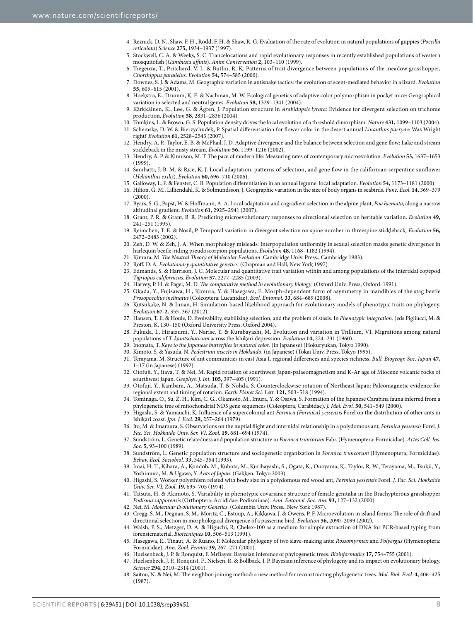- 4. Reznick, D. N., Shaw, F. H., Rodd, F. H. & Shaw, R. G. Evaluation of the rate of evolution in natural populations of guppies (*Poecilla reticulata*) *Science* **275,** 1934–1937 (1997).
- 5. Stockwell, C. A. & Weeks, S. C. Trancelocations and rapid evolutionary responses in recently established populations of western mosquitofish (*Gambusia affinis*). *Anim Conservation* **2,** 103–110 (1999).
- 6. Tregenza, T., Pritchard, V. L. & Butlin, R. K. Patterns of trait divergence between populations of the meadow grasshopper, *Chorthippus parallelus*. *Evolution* **54,** 574–585 (2000).
- 7. Downes, S. J. & Adams, M. Geographic variation in antisnake tactics: the evolution of scent-mediated behavior in a lizard. *Evolution* **55,** 605–615 (2001).
- <span id="page-8-11"></span>8. Hoekstra, E., Drumm, K. E. & Nachman, M. W. Ecological genetics of adaptive color polymorphism in pocket mice: Geographical variation in selected and neutral genes. *Evolution* **58,** 1329–1341 (2004).
- 9. Kärkkäinen, K., Løe, G. & Ågren, J. Population structure in *Arabidopsis lyrata*: Evidence for divergent selection on trichome production. *Evolution* **58,** 2831–2836 (2004).
- <span id="page-8-1"></span>10. Tomkins, L. & Brown, G. S. Population density drives the local evolution of a threshold dimorphism. *Nature* **431,** 1099–1103 (2004).
- 11. Schemske, D. W. & Bierzychudek, P. Spatial differentiation for flower color in the desert annual *Linanthus parryae*: Was Wright right? *Evolution* **61,** 2528–2543 (2007).
- <span id="page-8-0"></span>12. Hendry, A. P., Taylor, E. B. & McPhail, J. D. Adaptive divergence and the balance between selection and gene flow: Lake and stream stickleback in the misty stream. *Evolution* **56,** 1199–1216 (2002).
- 13. Hendry, A. P. & Kinnison, M. T. The pace of modern life: Measuring rates of contemporary microevolution. *Evolution* **53,** 1637–1653 (1999).
- 14. Sambatti, J. B. M. & Rice, K. J. Local adaptation, patterns of selection, and gene flow in the californian serpentine sunflower (*Helianthus exilis*). *Evolution* **60,** 696–710 (2006).
- <span id="page-8-2"></span>15. Galloway, L. F. & Fenster, C. B. Population differentiation in an annual legume: local adaptation. *Evolution* **54,** 1173–1181 (2000).
- 16. Hilton, G. M., Lilliendahl, K. & Solmundsson, J. Geographic variation in the size of body organs in seabirds. *Func. Ecol*. **14,** 369–379 (2000).
- 17. Byars, S. G., Papst, W. & Hoffmann, A. A. Local adaptation and cogradient selection in the alpine plant, *Poa hiemata*, along a narrow altitudinal gradient. *Evolution* **61,** 2925–2941 (2007).
- 18. Grant, P. R. & Grant, B. R. Predicting microevolutionary responses to directional selection on heritable variation. *Evolution* **49,** 241–251 (1995).
- 19. Reimchen, T. E. & Nosil, P. Temporal variation in divergent selection on spine number in threespine stickleback. *Evolution* **56,** 2472–2483 (2002).
- <span id="page-8-3"></span>20. Zeh, D. W. & Zeh, J. A. When morphology misleads: Interpopulation uniformity in sexual selection masks genetic divergence in harlequin beetle-riding pseudoscorpion populations. *Evolution* **48,** 1168–1182 (1994).
- 21. Kimura, M. *The Neutral Theory of Molecular Evolution*. Cambridge Univ. Press., Cambridge 1983).
- <span id="page-8-6"></span><span id="page-8-5"></span><span id="page-8-4"></span>22. Roff, D. A. *Evolutionary quantitative genetics*. (Chapman and Hall, New York 1997).
- 23. Edmands, S. & Harrison, J. C. Molecular and quantitative trait variation within and among populations of the intertidal copepod *Tigriopus californicus*. *Evolution* **57,** 2277–2285 (2003).
- <span id="page-8-7"></span>24. Harvey, P. H. & Pagel, M. D. *The comparative method in evolutionary biology*. (Oxford Univ. Press, Oxford. 1991).
- <span id="page-8-8"></span>25. Okada, Y., Fujisawa, H., Kimura, Y. & Hasegawa, E. Morph-dependent form of asymmetry in mandibles of the stag beetle *Prosopocolius inclinatus* (Coleoptera: Lucanidae). *Ecol. Entomol*. **33,** 684–689 (2008).
- <span id="page-8-9"></span>26. Kutsukake, N. & Innan, H. Simulation-based likelihood approach for evolutionary models of phenotypic traits on phylogeny. *Evolution* **67-2.** 355–367 (2012).
- <span id="page-8-10"></span>27. Hansen, T. E. & Houle, D. Evolvability, stabilizing selection, and the problem of stasis. In *Phenotypic integration*. (eds Pigliucci, M. & Preston, K. 130–150 (Oxford University Press, Oxford 2004).
- <span id="page-8-12"></span>28. Fukuda, I., Hiraizumi, Y., Narise, Y. & Kurabayashi, M. Evolution and variation in Trillium, VI. Migrations among natural populations of *T. kamtschaticum* across the Ishikari depression. *Evolution* **14,** 224–231 (1960).
- <span id="page-8-13"></span>29. Inomata, T. *Keys to the Japanese butterflies in natural color*. (in Japanese) (Hokuryukan, Tokyo 1990).
- <span id="page-8-14"></span>30. Kimoto, S. & Yasuda, N. *Pedestrian insects in Hokkaido*. (in Japanese) (Tokai Univ. Press, Tokyo 1995).
- <span id="page-8-15"></span>31. Terayama, M. Structure of ant communities in east Asia I. regional differences and species richness. *Bull. Biogeogr. Soc. Japan* **47,** 1–17 (in Japanese) (1992).
- <span id="page-8-16"></span>32. Otofuji, Y., Itaya, T. & Nei, M. Rapid rotation of sourthwest Japan-palaeomagnetism and K-Ar age of Miocene volcanic rocks of sourthwest Japan. *Geophys. J. Int*. **105,** 397–405 (1991).
- 33. Otofuji, Y., Kambara, A., Matsuda, T. & Nohda, S. Counterclockwise rotation of Northeast Japan: Paleomagnetic evidence for regional extent and timing of rotation. *Earth Planet Sci. Lett.* **121,** 503–518 (1994).
- 34. Tominaga, O., Su, Z. H., Kim, C. G., Okamoto, M., Imura, Y. & Osawa, S. Formation of the Japanese Carabina fauna inferred from a phylogenetic tree of mitochondrial ND5 gene sequences (Coleoptera, Carabidae). *J. Mol. Evol.* **50,** 541–549 (2000).
- <span id="page-8-17"></span>35. Higashi, S. & Yamauchi, K. Influence of a supercolonial ant *Formica (Formica) yessensis* Forel on the distribution of other ants in Ishikari coast. *Jpn. J. Ecol.* **29,** 257–264 (1979).
- <span id="page-8-18"></span>36. Ito, M. & Imamura, S. Observations on the nuptial flight and internidal relationship in a polydomous ant, *Formica yessensis* Forel. *J. Fac. Sci. Hokkaido Univ. Ser. VI, Zool*. **19,** 681–694 (1974).
- <span id="page-8-19"></span>37. Sundström, L. Genetic relatedness and population structure in *Formica truncorum* Fabr. (Hymenoptera: Formicidae). *Actes Coll. Ins. Soc*. **5,** 93–100 (1989).
- <span id="page-8-20"></span>38. Sundström, L. Genetic population structure and sociogenetic organization in *Formica truncorum* (Hymenoptera; Formicidae). *Behav. Ecol. Sociobiol.* **33,** 345–354 (1993).
- <span id="page-8-21"></span>39. Imai, H. T., Kihara, A., Kondoh, M., Kubota, M., Kuribayashi, S., Ogata, K., Onoyama, K., Taylor, R. W., Terayama, M., Tsukii, Y., Yoshimura, M. & Ugawa, Y. *Ants of Japan*. (Gakken, Tokyo 2003).
- <span id="page-8-22"></span>40. Higashi, S. Worker polyethism related with body size in a polydomous red wood ant, *Formica yessensis* Forel. *J. Fac. Sci. Hokkaido Univ. Ser. VI, Zool*. **19,** 695–705 (1974).
- <span id="page-8-23"></span>41. Tatsuta, H. & Akimoto, S. Variability in phenotypic covariance structure of female genitalia in the Brachypterous grasshopper *Podisma sapporensis* (Orthoptera: Acrididae: Podisminae). *Ann. Entomol. Soc. Am.* **93,** 127–132 (2000).
- 42. Nei, M. *Molecular Evolutionary Genetics*. (Columbia Univ. Press., New York 1987).
- 43. Cregg, S. M., Degnan, S. M., Moritz, C., Estoup, A., Kikkawa, J. & Owens, P. F. Microevolution in island forms: The role of drift and directional selection in morphological divergence of a passerine bird. *Evolution* **56,** 2090–2099 (2002).
- <span id="page-8-24"></span>44. Walsh, P. S., Metzger, D. A. & Higuchi, R. Chelex-100 as a medium for simple extraction of DNA for PCR-based typing from forensicmaterial. *Biotecniques* **10,** 506–513 (1991).
- <span id="page-8-25"></span>45. Hasegawa, E., Tinaut, A. & Ruano, F. Molecular phylogeny of two slave-making ants: *Rossomyrmex* and *Polyergus* (Hymenoptera: Formicidae). *Ann. Zool. Fennici* **39,** 267–271 (2001).
- <span id="page-8-27"></span><span id="page-8-26"></span>46. Huelsenbeck, J. P. & Ronquist, F. MrBayes: Bayesian inference of phylogenetic trees. *Bioinformatics* **17,** 754–755 (2001).
- 47. Huelsenbeck, J. P., Ronquist, F., Nielsen, R. & Bollback, J. P. Bayesian inference of phylogeny and its impact on evolutionary biology. *Science* **294,** 2310–2314 (2001).
- <span id="page-8-28"></span>48. Saitou, N. & Nei, M. The neighbor-joining method: a new method for reconstructing phylogenetic trees. *Mol. Biol. Evol.* **4,** 406–425 (1987).